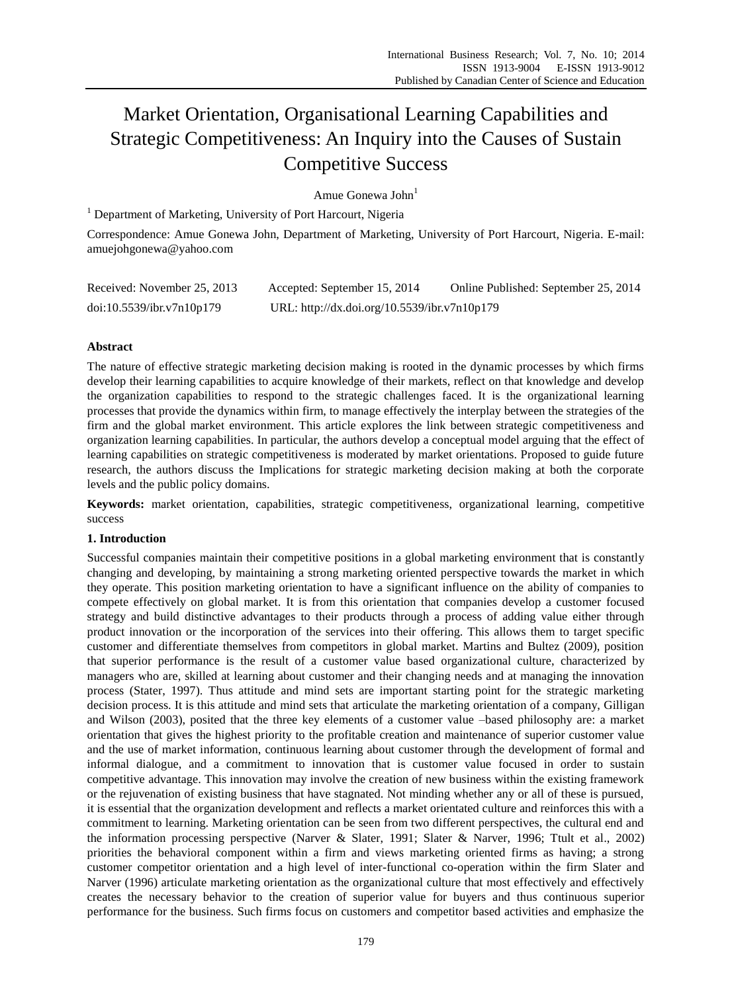# Market Orientation, Organisational Learning Capabilities and Strategic Competitiveness: An Inquiry into the Causes of Sustain Competitive Success

Amue Gonewa John $<sup>1</sup>$ </sup>

<sup>1</sup> Department of Marketing, University of Port Harcourt, Nigeria

Correspondence: Amue Gonewa John, Department of Marketing, University of Port Harcourt, Nigeria. E-mail: amuejohgonewa@yahoo.com

| Received: November 25, 2013 | Accepted: September 15, 2014                 | Online Published: September 25, 2014 |
|-----------------------------|----------------------------------------------|--------------------------------------|
| doi:10.5539/ibr.v7n10p179   | URL: http://dx.doi.org/10.5539/ibr.v7n10p179 |                                      |

# **Abstract**

The nature of effective strategic marketing decision making is rooted in the dynamic processes by which firms develop their learning capabilities to acquire knowledge of their markets, reflect on that knowledge and develop the organization capabilities to respond to the strategic challenges faced. It is the organizational learning processes that provide the dynamics within firm, to manage effectively the interplay between the strategies of the firm and the global market environment. This article explores the link between strategic competitiveness and organization learning capabilities. In particular, the authors develop a conceptual model arguing that the effect of learning capabilities on strategic competitiveness is moderated by market orientations. Proposed to guide future research, the authors discuss the Implications for strategic marketing decision making at both the corporate levels and the public policy domains.

**Keywords:** market orientation, capabilities, strategic competitiveness, organizational learning, competitive success

# **1. Introduction**

Successful companies maintain their competitive positions in a global marketing environment that is constantly changing and developing, by maintaining a strong marketing oriented perspective towards the market in which they operate. This position marketing orientation to have a significant influence on the ability of companies to compete effectively on global market. It is from this orientation that companies develop a customer focused strategy and build distinctive advantages to their products through a process of adding value either through product innovation or the incorporation of the services into their offering. This allows them to target specific customer and differentiate themselves from competitors in global market. Martins and Bultez (2009), position that superior performance is the result of a customer value based organizational culture, characterized by managers who are, skilled at learning about customer and their changing needs and at managing the innovation process (Stater, 1997). Thus attitude and mind sets are important starting point for the strategic marketing decision process. It is this attitude and mind sets that articulate the marketing orientation of a company, Gilligan and Wilson (2003), posited that the three key elements of a customer value –based philosophy are: a market orientation that gives the highest priority to the profitable creation and maintenance of superior customer value and the use of market information, continuous learning about customer through the development of formal and informal dialogue, and a commitment to innovation that is customer value focused in order to sustain competitive advantage. This innovation may involve the creation of new business within the existing framework or the rejuvenation of existing business that have stagnated. Not minding whether any or all of these is pursued, it is essential that the organization development and reflects a market orientated culture and reinforces this with a commitment to learning. Marketing orientation can be seen from two different perspectives, the cultural end and the information processing perspective (Narver & Slater, 1991; Slater & Narver, 1996; Ttult et al., 2002) priorities the behavioral component within a firm and views marketing oriented firms as having; a strong customer competitor orientation and a high level of inter-functional co-operation within the firm Slater and Narver (1996) articulate marketing orientation as the organizational culture that most effectively and effectively creates the necessary behavior to the creation of superior value for buyers and thus continuous superior performance for the business. Such firms focus on customers and competitor based activities and emphasize the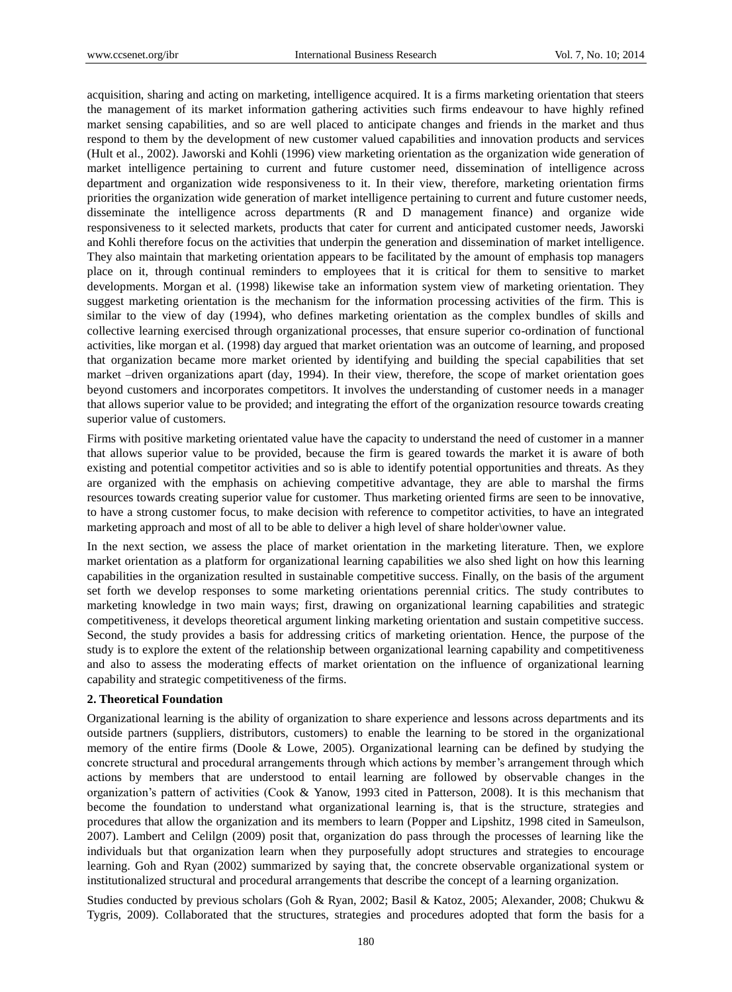acquisition, sharing and acting on marketing, intelligence acquired. It is a firms marketing orientation that steers the management of its market information gathering activities such firms endeavour to have highly refined market sensing capabilities, and so are well placed to anticipate changes and friends in the market and thus respond to them by the development of new customer valued capabilities and innovation products and services (Hult et al., 2002). Jaworski and Kohli (1996) view marketing orientation as the organization wide generation of market intelligence pertaining to current and future customer need, dissemination of intelligence across department and organization wide responsiveness to it. In their view, therefore, marketing orientation firms priorities the organization wide generation of market intelligence pertaining to current and future customer needs, disseminate the intelligence across departments (R and D management finance) and organize wide responsiveness to it selected markets, products that cater for current and anticipated customer needs, Jaworski and Kohli therefore focus on the activities that underpin the generation and dissemination of market intelligence. They also maintain that marketing orientation appears to be facilitated by the amount of emphasis top managers place on it, through continual reminders to employees that it is critical for them to sensitive to market developments. Morgan et al. (1998) likewise take an information system view of marketing orientation. They suggest marketing orientation is the mechanism for the information processing activities of the firm. This is similar to the view of day (1994), who defines marketing orientation as the complex bundles of skills and collective learning exercised through organizational processes, that ensure superior co-ordination of functional activities, like morgan et al. (1998) day argued that market orientation was an outcome of learning, and proposed that organization became more market oriented by identifying and building the special capabilities that set market –driven organizations apart (day, 1994). In their view, therefore, the scope of market orientation goes beyond customers and incorporates competitors. It involves the understanding of customer needs in a manager that allows superior value to be provided; and integrating the effort of the organization resource towards creating superior value of customers.

Firms with positive marketing orientated value have the capacity to understand the need of customer in a manner that allows superior value to be provided, because the firm is geared towards the market it is aware of both existing and potential competitor activities and so is able to identify potential opportunities and threats. As they are organized with the emphasis on achieving competitive advantage, they are able to marshal the firms resources towards creating superior value for customer. Thus marketing oriented firms are seen to be innovative, to have a strong customer focus, to make decision with reference to competitor activities, to have an integrated marketing approach and most of all to be able to deliver a high level of share holder\owner value.

In the next section, we assess the place of market orientation in the marketing literature. Then, we explore market orientation as a platform for organizational learning capabilities we also shed light on how this learning capabilities in the organization resulted in sustainable competitive success. Finally, on the basis of the argument set forth we develop responses to some marketing orientations perennial critics. The study contributes to marketing knowledge in two main ways; first, drawing on organizational learning capabilities and strategic competitiveness, it develops theoretical argument linking marketing orientation and sustain competitive success. Second, the study provides a basis for addressing critics of marketing orientation. Hence, the purpose of the study is to explore the extent of the relationship between organizational learning capability and competitiveness and also to assess the moderating effects of market orientation on the influence of organizational learning capability and strategic competitiveness of the firms.

## **2. Theoretical Foundation**

Organizational learning is the ability of organization to share experience and lessons across departments and its outside partners (suppliers, distributors, customers) to enable the learning to be stored in the organizational memory of the entire firms (Doole & Lowe, 2005). Organizational learning can be defined by studying the concrete structural and procedural arrangements through which actions by member's arrangement through which actions by members that are understood to entail learning are followed by observable changes in the organization's pattern of activities (Cook & Yanow, 1993 cited in Patterson, 2008). It is this mechanism that become the foundation to understand what organizational learning is, that is the structure, strategies and procedures that allow the organization and its members to learn (Popper and Lipshitz, 1998 cited in Sameulson, 2007). Lambert and Celilgn (2009) posit that, organization do pass through the processes of learning like the individuals but that organization learn when they purposefully adopt structures and strategies to encourage learning. Goh and Ryan (2002) summarized by saying that, the concrete observable organizational system or institutionalized structural and procedural arrangements that describe the concept of a learning organization.

Studies conducted by previous scholars (Goh & Ryan, 2002; Basil & Katoz, 2005; Alexander, 2008; Chukwu & Tygris, 2009). Collaborated that the structures, strategies and procedures adopted that form the basis for a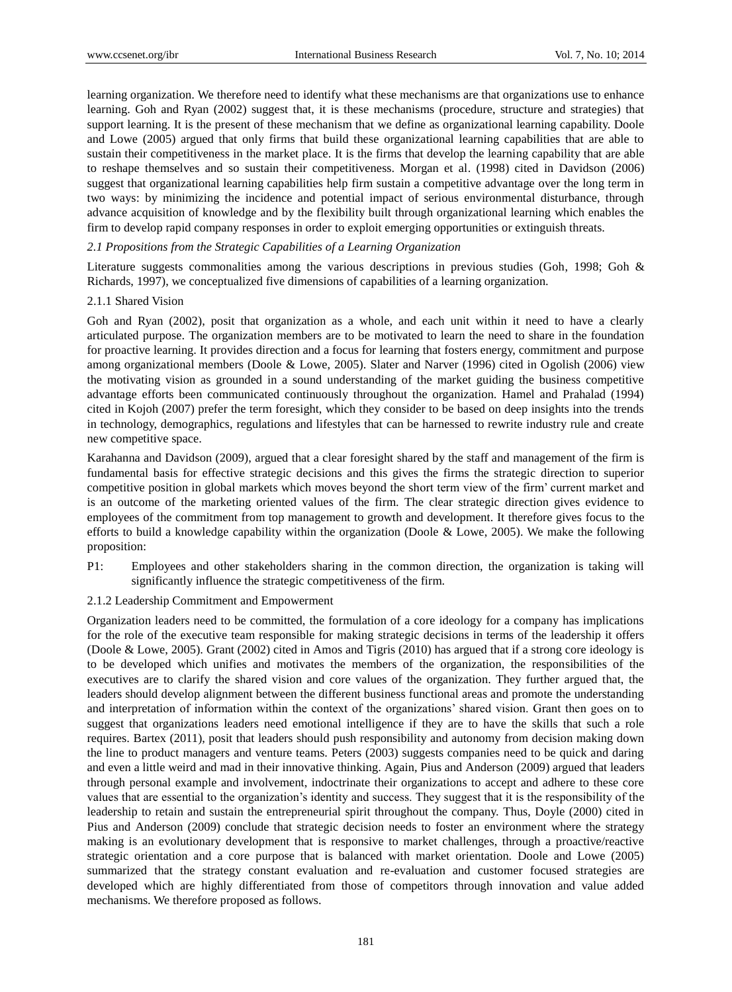learning organization. We therefore need to identify what these mechanisms are that organizations use to enhance learning. Goh and Ryan (2002) suggest that, it is these mechanisms (procedure, structure and strategies) that support learning. It is the present of these mechanism that we define as organizational learning capability. Doole and Lowe (2005) argued that only firms that build these organizational learning capabilities that are able to sustain their competitiveness in the market place. It is the firms that develop the learning capability that are able to reshape themselves and so sustain their competitiveness. Morgan et al. (1998) cited in Davidson (2006) suggest that organizational learning capabilities help firm sustain a competitive advantage over the long term in two ways: by minimizing the incidence and potential impact of serious environmental disturbance, through advance acquisition of knowledge and by the flexibility built through organizational learning which enables the firm to develop rapid company responses in order to exploit emerging opportunities or extinguish threats.

## *2.1 Propositions from the Strategic Capabilities of a Learning Organization*

Literature suggests commonalities among the various descriptions in previous studies (Goh, 1998; Goh & Richards, 1997), we conceptualized five dimensions of capabilities of a learning organization.

## 2.1.1 Shared Vision

Goh and Ryan (2002), posit that organization as a whole, and each unit within it need to have a clearly articulated purpose. The organization members are to be motivated to learn the need to share in the foundation for proactive learning. It provides direction and a focus for learning that fosters energy, commitment and purpose among organizational members (Doole & Lowe, 2005). Slater and Narver (1996) cited in Ogolish (2006) view the motivating vision as grounded in a sound understanding of the market guiding the business competitive advantage efforts been communicated continuously throughout the organization. Hamel and Prahalad (1994) cited in Kojoh (2007) prefer the term foresight, which they consider to be based on deep insights into the trends in technology, demographics, regulations and lifestyles that can be harnessed to rewrite industry rule and create new competitive space.

Karahanna and Davidson (2009), argued that a clear foresight shared by the staff and management of the firm is fundamental basis for effective strategic decisions and this gives the firms the strategic direction to superior competitive position in global markets which moves beyond the short term view of the firm' current market and is an outcome of the marketing oriented values of the firm. The clear strategic direction gives evidence to employees of the commitment from top management to growth and development. It therefore gives focus to the efforts to build a knowledge capability within the organization (Doole & Lowe, 2005). We make the following proposition:

- P1: Employees and other stakeholders sharing in the common direction, the organization is taking will significantly influence the strategic competitiveness of the firm.
- 2.1.2 Leadership Commitment and Empowerment

Organization leaders need to be committed, the formulation of a core ideology for a company has implications for the role of the executive team responsible for making strategic decisions in terms of the leadership it offers (Doole & Lowe, 2005). Grant (2002) cited in Amos and Tigris (2010) has argued that if a strong core ideology is to be developed which unifies and motivates the members of the organization, the responsibilities of the executives are to clarify the shared vision and core values of the organization. They further argued that, the leaders should develop alignment between the different business functional areas and promote the understanding and interpretation of information within the context of the organizations' shared vision. Grant then goes on to suggest that organizations leaders need emotional intelligence if they are to have the skills that such a role requires. Bartex (2011), posit that leaders should push responsibility and autonomy from decision making down the line to product managers and venture teams. Peters (2003) suggests companies need to be quick and daring and even a little weird and mad in their innovative thinking. Again, Pius and Anderson (2009) argued that leaders through personal example and involvement, indoctrinate their organizations to accept and adhere to these core values that are essential to the organization's identity and success. They suggest that it is the responsibility of the leadership to retain and sustain the entrepreneurial spirit throughout the company. Thus, Doyle (2000) cited in Pius and Anderson (2009) conclude that strategic decision needs to foster an environment where the strategy making is an evolutionary development that is responsive to market challenges, through a proactive/reactive strategic orientation and a core purpose that is balanced with market orientation. Doole and Lowe (2005) summarized that the strategy constant evaluation and re-evaluation and customer focused strategies are developed which are highly differentiated from those of competitors through innovation and value added mechanisms. We therefore proposed as follows.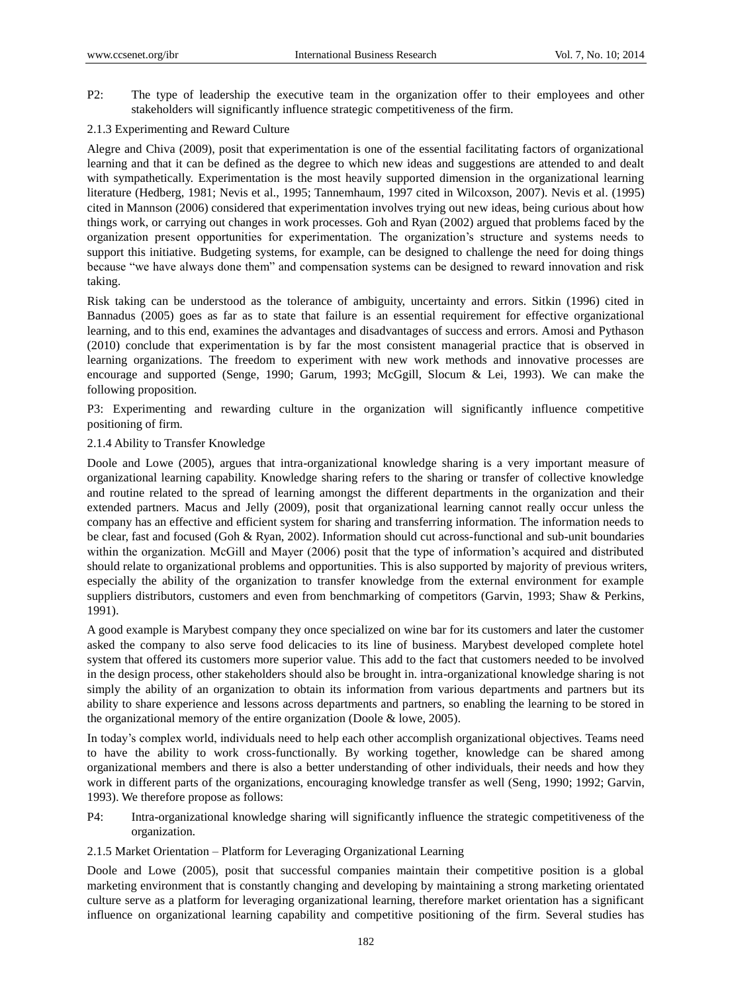P2: The type of leadership the executive team in the organization offer to their employees and other stakeholders will significantly influence strategic competitiveness of the firm.

# 2.1.3 Experimenting and Reward Culture

Alegre and Chiva (2009), posit that experimentation is one of the essential facilitating factors of organizational learning and that it can be defined as the degree to which new ideas and suggestions are attended to and dealt with sympathetically. Experimentation is the most heavily supported dimension in the organizational learning literature (Hedberg, 1981; Nevis et al., 1995; Tannemhaum, 1997 cited in Wilcoxson, 2007). Nevis et al. (1995) cited in Mannson (2006) considered that experimentation involves trying out new ideas, being curious about how things work, or carrying out changes in work processes. Goh and Ryan (2002) argued that problems faced by the organization present opportunities for experimentation. The organization's structure and systems needs to support this initiative. Budgeting systems, for example, can be designed to challenge the need for doing things because "we have always done them" and compensation systems can be designed to reward innovation and risk taking.

Risk taking can be understood as the tolerance of ambiguity, uncertainty and errors. Sitkin (1996) cited in Bannadus (2005) goes as far as to state that failure is an essential requirement for effective organizational learning, and to this end, examines the advantages and disadvantages of success and errors. Amosi and Pythason (2010) conclude that experimentation is by far the most consistent managerial practice that is observed in learning organizations. The freedom to experiment with new work methods and innovative processes are encourage and supported (Senge, 1990; Garum, 1993; McGgill, Slocum & Lei, 1993). We can make the following proposition.

P3: Experimenting and rewarding culture in the organization will significantly influence competitive positioning of firm.

# 2.1.4 Ability to Transfer Knowledge

Doole and Lowe (2005), argues that intra-organizational knowledge sharing is a very important measure of organizational learning capability. Knowledge sharing refers to the sharing or transfer of collective knowledge and routine related to the spread of learning amongst the different departments in the organization and their extended partners. Macus and Jelly (2009), posit that organizational learning cannot really occur unless the company has an effective and efficient system for sharing and transferring information. The information needs to be clear, fast and focused (Goh & Ryan, 2002). Information should cut across-functional and sub-unit boundaries within the organization. McGill and Mayer (2006) posit that the type of information's acquired and distributed should relate to organizational problems and opportunities. This is also supported by majority of previous writers, especially the ability of the organization to transfer knowledge from the external environment for example suppliers distributors, customers and even from benchmarking of competitors (Garvin, 1993; Shaw & Perkins, 1991).

A good example is Marybest company they once specialized on wine bar for its customers and later the customer asked the company to also serve food delicacies to its line of business. Marybest developed complete hotel system that offered its customers more superior value. This add to the fact that customers needed to be involved in the design process, other stakeholders should also be brought in. intra-organizational knowledge sharing is not simply the ability of an organization to obtain its information from various departments and partners but its ability to share experience and lessons across departments and partners, so enabling the learning to be stored in the organizational memory of the entire organization (Doole & lowe, 2005).

In today's complex world, individuals need to help each other accomplish organizational objectives. Teams need to have the ability to work cross-functionally. By working together, knowledge can be shared among organizational members and there is also a better understanding of other individuals, their needs and how they work in different parts of the organizations, encouraging knowledge transfer as well (Seng, 1990; 1992; Garvin, 1993). We therefore propose as follows:

- P4: Intra-organizational knowledge sharing will significantly influence the strategic competitiveness of the organization.
- 2.1.5 Market Orientation Platform for Leveraging Organizational Learning

Doole and Lowe (2005), posit that successful companies maintain their competitive position is a global marketing environment that is constantly changing and developing by maintaining a strong marketing orientated culture serve as a platform for leveraging organizational learning, therefore market orientation has a significant influence on organizational learning capability and competitive positioning of the firm. Several studies has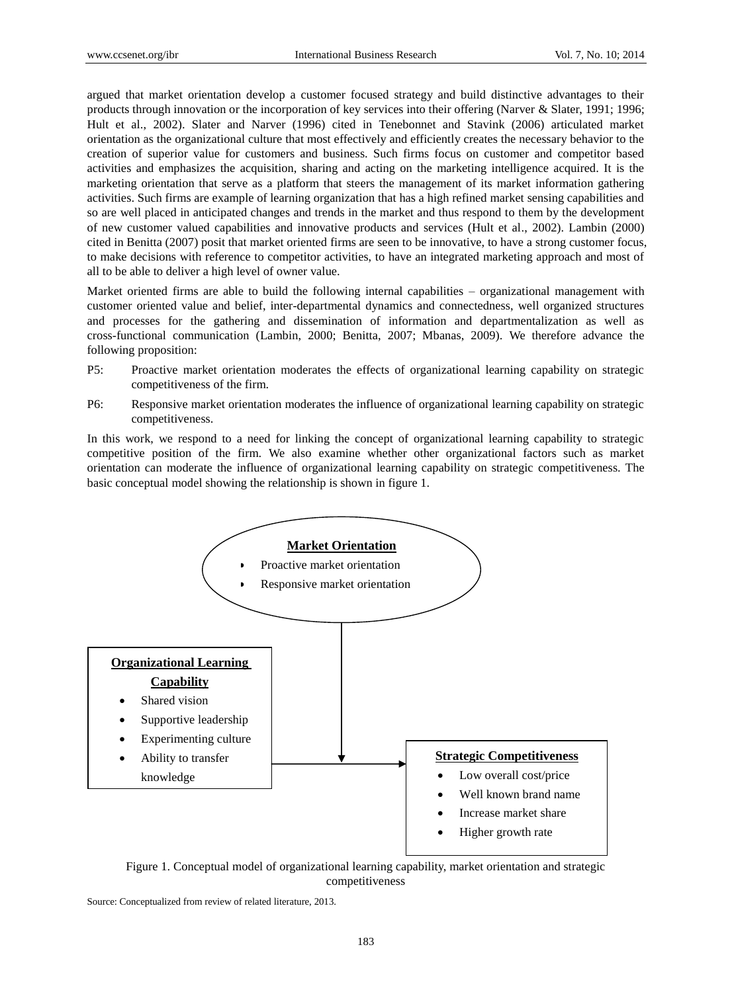argued that market orientation develop a customer focused strategy and build distinctive advantages to their products through innovation or the incorporation of key services into their offering (Narver & Slater, 1991; 1996; Hult et al., 2002). Slater and Narver (1996) cited in Tenebonnet and Stavink (2006) articulated market orientation as the organizational culture that most effectively and efficiently creates the necessary behavior to the creation of superior value for customers and business. Such firms focus on customer and competitor based activities and emphasizes the acquisition, sharing and acting on the marketing intelligence acquired. It is the marketing orientation that serve as a platform that steers the management of its market information gathering activities. Such firms are example of learning organization that has a high refined market sensing capabilities and so are well placed in anticipated changes and trends in the market and thus respond to them by the development of new customer valued capabilities and innovative products and services (Hult et al., 2002). Lambin (2000) cited in Benitta (2007) posit that market oriented firms are seen to be innovative, to have a strong customer focus, to make decisions with reference to competitor activities, to have an integrated marketing approach and most of all to be able to deliver a high level of owner value.

Market oriented firms are able to build the following internal capabilities – organizational management with customer oriented value and belief, inter-departmental dynamics and connectedness, well organized structures and processes for the gathering and dissemination of information and departmentalization as well as cross-functional communication (Lambin, 2000; Benitta, 2007; Mbanas, 2009). We therefore advance the following proposition:

- P5: Proactive market orientation moderates the effects of organizational learning capability on strategic competitiveness of the firm.
- P6: Responsive market orientation moderates the influence of organizational learning capability on strategic competitiveness.

In this work, we respond to a need for linking the concept of organizational learning capability to strategic competitive position of the firm. We also examine whether other organizational factors such as market orientation can moderate the influence of organizational learning capability on strategic competitiveness. The basic conceptual model showing the relationship is shown in figure 1.



Figure 1. Conceptual model of organizational learning capability, market orientation and strategic competitiveness

Source: Conceptualized from review of related literature, 2013.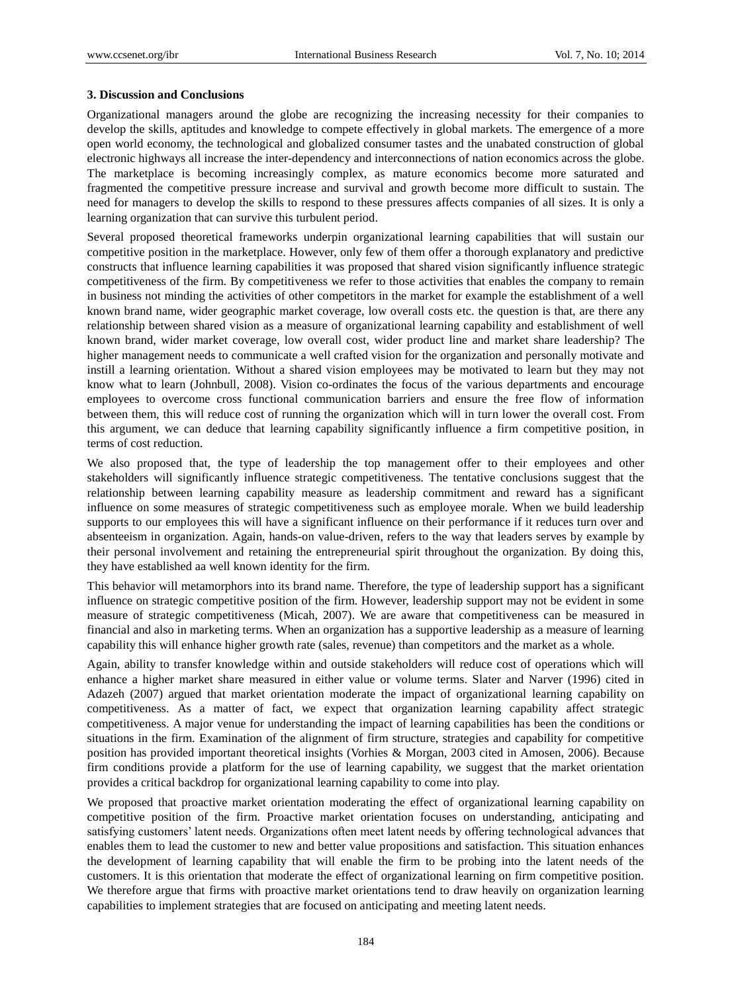#### **3. Discussion and Conclusions**

Organizational managers around the globe are recognizing the increasing necessity for their companies to develop the skills, aptitudes and knowledge to compete effectively in global markets. The emergence of a more open world economy, the technological and globalized consumer tastes and the unabated construction of global electronic highways all increase the inter-dependency and interconnections of nation economics across the globe. The marketplace is becoming increasingly complex, as mature economics become more saturated and fragmented the competitive pressure increase and survival and growth become more difficult to sustain. The need for managers to develop the skills to respond to these pressures affects companies of all sizes. It is only a learning organization that can survive this turbulent period.

Several proposed theoretical frameworks underpin organizational learning capabilities that will sustain our competitive position in the marketplace. However, only few of them offer a thorough explanatory and predictive constructs that influence learning capabilities it was proposed that shared vision significantly influence strategic competitiveness of the firm. By competitiveness we refer to those activities that enables the company to remain in business not minding the activities of other competitors in the market for example the establishment of a well known brand name, wider geographic market coverage, low overall costs etc. the question is that, are there any relationship between shared vision as a measure of organizational learning capability and establishment of well known brand, wider market coverage, low overall cost, wider product line and market share leadership? The higher management needs to communicate a well crafted vision for the organization and personally motivate and instill a learning orientation. Without a shared vision employees may be motivated to learn but they may not know what to learn (Johnbull, 2008). Vision co-ordinates the focus of the various departments and encourage employees to overcome cross functional communication barriers and ensure the free flow of information between them, this will reduce cost of running the organization which will in turn lower the overall cost. From this argument, we can deduce that learning capability significantly influence a firm competitive position, in terms of cost reduction.

We also proposed that, the type of leadership the top management offer to their employees and other stakeholders will significantly influence strategic competitiveness. The tentative conclusions suggest that the relationship between learning capability measure as leadership commitment and reward has a significant influence on some measures of strategic competitiveness such as employee morale. When we build leadership supports to our employees this will have a significant influence on their performance if it reduces turn over and absenteeism in organization. Again, hands-on value-driven, refers to the way that leaders serves by example by their personal involvement and retaining the entrepreneurial spirit throughout the organization. By doing this, they have established aa well known identity for the firm.

This behavior will metamorphors into its brand name. Therefore, the type of leadership support has a significant influence on strategic competitive position of the firm. However, leadership support may not be evident in some measure of strategic competitiveness (Micah, 2007). We are aware that competitiveness can be measured in financial and also in marketing terms. When an organization has a supportive leadership as a measure of learning capability this will enhance higher growth rate (sales, revenue) than competitors and the market as a whole.

Again, ability to transfer knowledge within and outside stakeholders will reduce cost of operations which will enhance a higher market share measured in either value or volume terms. Slater and Narver (1996) cited in Adazeh (2007) argued that market orientation moderate the impact of organizational learning capability on competitiveness. As a matter of fact, we expect that organization learning capability affect strategic competitiveness. A major venue for understanding the impact of learning capabilities has been the conditions or situations in the firm. Examination of the alignment of firm structure, strategies and capability for competitive position has provided important theoretical insights (Vorhies & Morgan, 2003 cited in Amosen, 2006). Because firm conditions provide a platform for the use of learning capability, we suggest that the market orientation provides a critical backdrop for organizational learning capability to come into play.

We proposed that proactive market orientation moderating the effect of organizational learning capability on competitive position of the firm. Proactive market orientation focuses on understanding, anticipating and satisfying customers' latent needs. Organizations often meet latent needs by offering technological advances that enables them to lead the customer to new and better value propositions and satisfaction. This situation enhances the development of learning capability that will enable the firm to be probing into the latent needs of the customers. It is this orientation that moderate the effect of organizational learning on firm competitive position. We therefore argue that firms with proactive market orientations tend to draw heavily on organization learning capabilities to implement strategies that are focused on anticipating and meeting latent needs.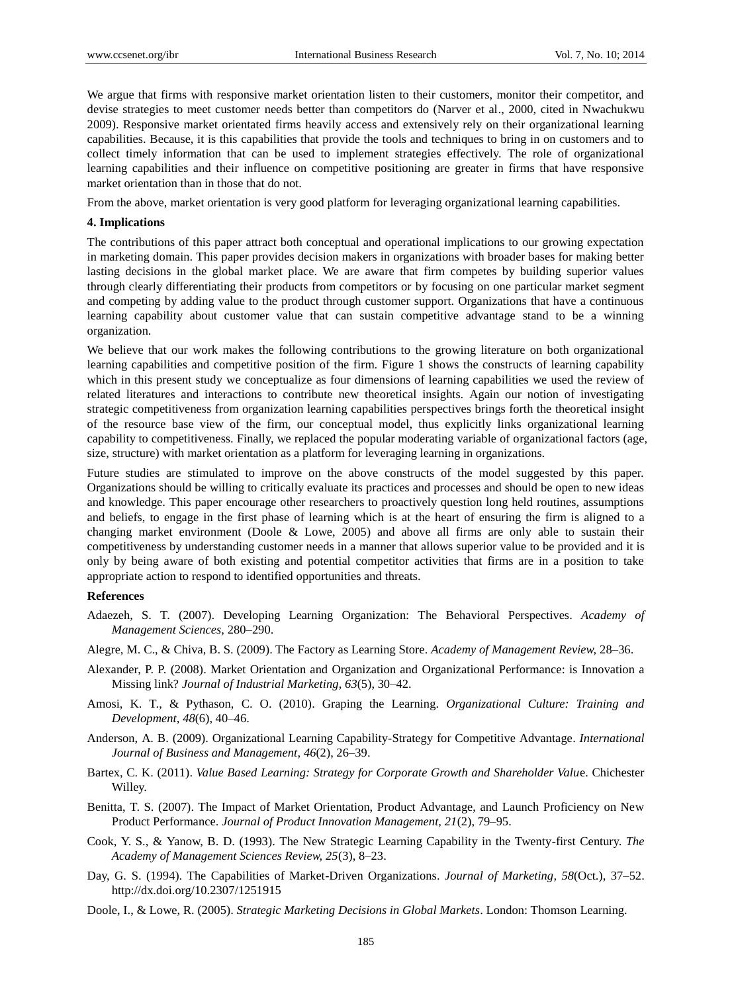We argue that firms with responsive market orientation listen to their customers, monitor their competitor, and devise strategies to meet customer needs better than competitors do (Narver et al., 2000, cited in Nwachukwu 2009). Responsive market orientated firms heavily access and extensively rely on their organizational learning capabilities. Because, it is this capabilities that provide the tools and techniques to bring in on customers and to collect timely information that can be used to implement strategies effectively. The role of organizational learning capabilities and their influence on competitive positioning are greater in firms that have responsive market orientation than in those that do not.

From the above, market orientation is very good platform for leveraging organizational learning capabilities.

#### **4. Implications**

The contributions of this paper attract both conceptual and operational implications to our growing expectation in marketing domain. This paper provides decision makers in organizations with broader bases for making better lasting decisions in the global market place. We are aware that firm competes by building superior values through clearly differentiating their products from competitors or by focusing on one particular market segment and competing by adding value to the product through customer support. Organizations that have a continuous learning capability about customer value that can sustain competitive advantage stand to be a winning organization.

We believe that our work makes the following contributions to the growing literature on both organizational learning capabilities and competitive position of the firm. Figure 1 shows the constructs of learning capability which in this present study we conceptualize as four dimensions of learning capabilities we used the review of related literatures and interactions to contribute new theoretical insights. Again our notion of investigating strategic competitiveness from organization learning capabilities perspectives brings forth the theoretical insight of the resource base view of the firm, our conceptual model, thus explicitly links organizational learning capability to competitiveness. Finally, we replaced the popular moderating variable of organizational factors (age, size, structure) with market orientation as a platform for leveraging learning in organizations.

Future studies are stimulated to improve on the above constructs of the model suggested by this paper. Organizations should be willing to critically evaluate its practices and processes and should be open to new ideas and knowledge. This paper encourage other researchers to proactively question long held routines, assumptions and beliefs, to engage in the first phase of learning which is at the heart of ensuring the firm is aligned to a changing market environment (Doole & Lowe, 2005) and above all firms are only able to sustain their competitiveness by understanding customer needs in a manner that allows superior value to be provided and it is only by being aware of both existing and potential competitor activities that firms are in a position to take appropriate action to respond to identified opportunities and threats.

## **References**

- Adaezeh, S. T. (2007). Developing Learning Organization: The Behavioral Perspectives. *Academy of Management Sciences*, 280–290.
- Alegre, M. C., & Chiva, B. S. (2009). The Factory as Learning Store. *Academy of Management Review,* 28–36.
- Alexander, P. P. (2008). Market Orientation and Organization and Organizational Performance: is Innovation a Missing link? *Journal of Industrial Marketing, 63*(5), 30–42.
- Amosi, K. T., & Pythason, C. O. (2010). Graping the Learning. *Organizational Culture: Training and Development, 48*(6), 40–46.
- Anderson, A. B. (2009). Organizational Learning Capability-Strategy for Competitive Advantage. *International Journal of Business and Management, 46*(2), 26–39.
- Bartex, C. K. (2011). *Value Based Learning: Strategy for Corporate Growth and Shareholder Valu*e. Chichester Willey.
- Benitta, T. S. (2007). The Impact of Market Orientation, Product Advantage, and Launch Proficiency on New Product Performance. *Journal of Product Innovation Management, 21*(2), 79–95.
- Cook, Y. S., & Yanow, B. D. (1993). The New Strategic Learning Capability in the Twenty-first Century. *The Academy of Management Sciences Review, 25*(3), 8–23.
- Day, G. S. (1994). The Capabilities of Market-Driven Organizations. *Journal of Marketing, 58*(Oct.), 37–52. http://dx.doi.org/10.2307/1251915
- Doole, I., & Lowe, R. (2005). *Strategic Marketing Decisions in Global Markets*. London: Thomson Learning.